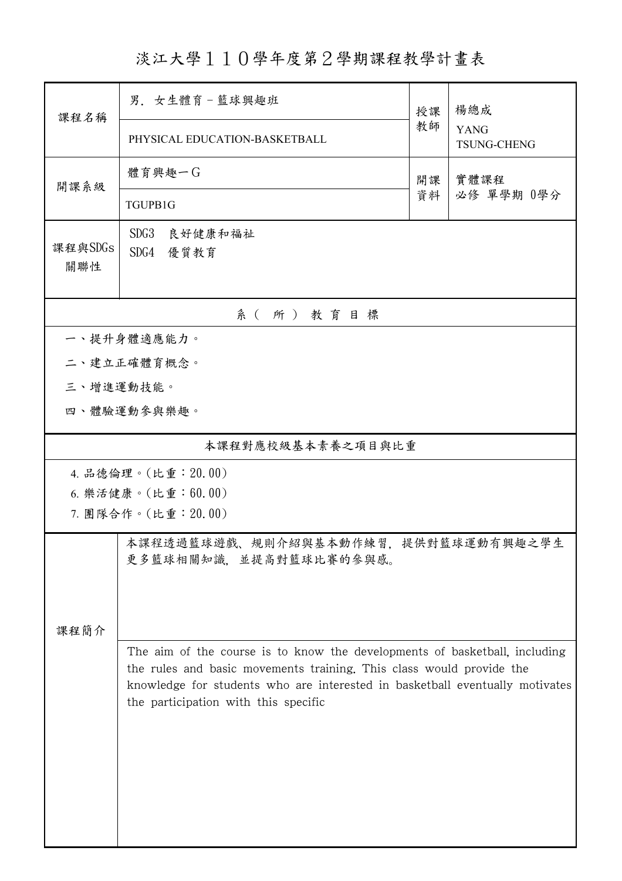淡江大學110學年度第2學期課程教學計畫表

| 課程名稱               | 男. 女生體育-籃球興趣班                                                 | 授課                                                                                                                                                                                                                                 | 楊總成<br><b>YANG</b><br><b>TSUNG-CHENG</b> |  |  |  |  |  |  |
|--------------------|---------------------------------------------------------------|------------------------------------------------------------------------------------------------------------------------------------------------------------------------------------------------------------------------------------|------------------------------------------|--|--|--|--|--|--|
|                    | PHYSICAL EDUCATION-BASKETBALL                                 | 教師                                                                                                                                                                                                                                 |                                          |  |  |  |  |  |  |
| 開課系級               | 體育興趣一G                                                        | 開課<br>資料                                                                                                                                                                                                                           | 實體課程<br>必修 單學期 0學分                       |  |  |  |  |  |  |
|                    | TGUPB1G                                                       |                                                                                                                                                                                                                                    |                                          |  |  |  |  |  |  |
| 課程與SDGs<br>關聯性     | SDG3<br>良好健康和福祉<br>SDG4 優質教育                                  |                                                                                                                                                                                                                                    |                                          |  |  |  |  |  |  |
| 系(所)教育目標           |                                                               |                                                                                                                                                                                                                                    |                                          |  |  |  |  |  |  |
| 一、提升身體適應能力。        |                                                               |                                                                                                                                                                                                                                    |                                          |  |  |  |  |  |  |
|                    | 二、建立正確體育概念。                                                   |                                                                                                                                                                                                                                    |                                          |  |  |  |  |  |  |
| 三、增進運動技能。          |                                                               |                                                                                                                                                                                                                                    |                                          |  |  |  |  |  |  |
|                    | 四、體驗運動參與樂趣。                                                   |                                                                                                                                                                                                                                    |                                          |  |  |  |  |  |  |
| 本課程對應校級基本素養之項目與比重  |                                                               |                                                                                                                                                                                                                                    |                                          |  |  |  |  |  |  |
|                    | 4. 品德倫理。(比重: 20.00)                                           |                                                                                                                                                                                                                                    |                                          |  |  |  |  |  |  |
| 6. 樂活健康。(比重:60.00) |                                                               |                                                                                                                                                                                                                                    |                                          |  |  |  |  |  |  |
|                    | 7. 團隊合作。(比重:20.00)                                            |                                                                                                                                                                                                                                    |                                          |  |  |  |  |  |  |
|                    | 本課程透過籃球遊戲、規則介紹與基本動作練習,提供對籃球運動有興趣之學生<br>更多籃球相關知識,並提高對籃球比賽的參與感。 |                                                                                                                                                                                                                                    |                                          |  |  |  |  |  |  |
|                    |                                                               |                                                                                                                                                                                                                                    |                                          |  |  |  |  |  |  |
| 課程簡介               |                                                               |                                                                                                                                                                                                                                    |                                          |  |  |  |  |  |  |
|                    |                                                               | The aim of the course is to know the developments of basketball, including<br>the rules and basic movements training. This class would provide the<br>knowledge for students who are interested in basketball eventually motivates |                                          |  |  |  |  |  |  |
|                    |                                                               |                                                                                                                                                                                                                                    |                                          |  |  |  |  |  |  |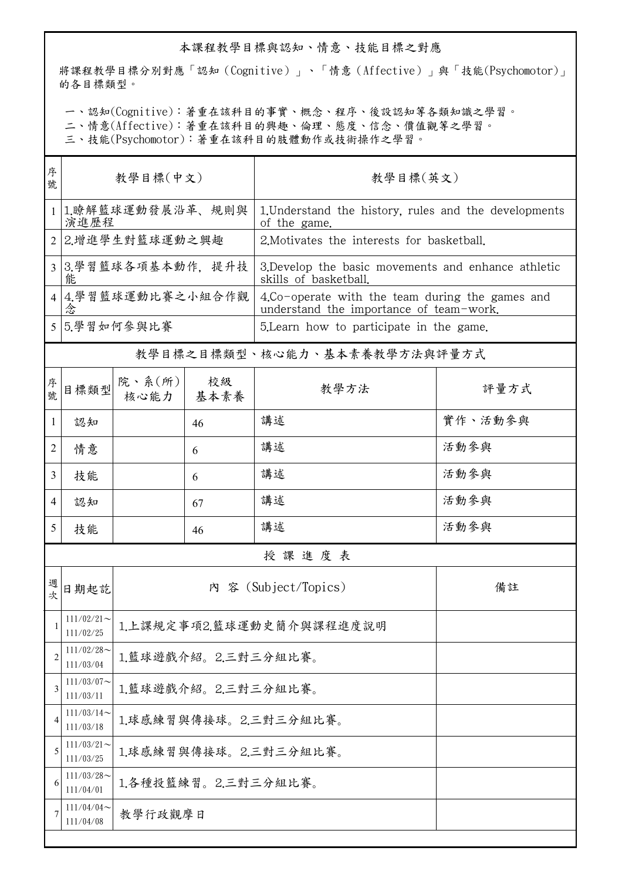## 本課程教學目標與認知、情意、技能目標之對應

將課程教學目標分別對應「認知(Cognitive)」、「情意(Affective)」與「技能(Psychomotor)」 的各目標類型。

一、認知(Cognitive):著重在該科目的事實、概念、程序、後設認知等各類知識之學習。

二、情意(Affective):著重在該科目的興趣、倫理、態度、信念、價值觀等之學習。

三、技能(Psychomotor):著重在該科目的肢體動作或技術操作之學習。

| 序<br>號         | 教學目標(中文)                   |                                 |    | 教學目標(英文)                                                                                   |         |  |
|----------------|----------------------------|---------------------------------|----|--------------------------------------------------------------------------------------------|---------|--|
|                | 1.瞭解籃球運動發展沿革、規則與<br>演進歷程   |                                 |    | 1. Understand the history, rules and the developments<br>of the game.                      |         |  |
| $\mathfrak{D}$ | 2.增進學生對籃球運動之興趣             |                                 |    | 2. Motivates the interests for basketball.                                                 |         |  |
|                | 3 3.學習籃球各項基本動作, 提升技<br>能   |                                 |    | 3. Develop the basic movements and enhance athletic<br>skills of basketball.               |         |  |
|                | 4.學習籃球運動比賽之小組合作觀<br>念      |                                 |    | 4.Co-operate with the team during the games and<br>understand the importance of team-work. |         |  |
|                | 5 5 學習如何參與比賽               |                                 |    | 5. Learn how to participate in the game.                                                   |         |  |
|                |                            |                                 |    | 教學目標之目標類型、核心能力、基本素養教學方法與評量方式                                                               |         |  |
| 序號             | 目標類型                       | 院、系 $(\text{m})$<br>核心能力   基本素養 | 校級 | 教學方法                                                                                       | 評量方式    |  |
| 1              | 認知                         |                                 | 46 | 講述                                                                                         | 實作、活動參與 |  |
| 2              | 情意                         |                                 | 6  | 講述                                                                                         | 活動參與    |  |
| 3              | 技能                         |                                 | 6  | 講述                                                                                         | 活動參與    |  |
| 4              | 認知                         |                                 | 67 | 講述                                                                                         | 活動參與    |  |
| 5              | 技能                         |                                 | 46 | 講述                                                                                         | 活動參與    |  |
|                |                            |                                 |    | 授課進度表                                                                                      |         |  |
| 週<br>次         | 日期起訖                       |                                 |    | 內 容 (Subject/Topics)                                                                       | 備註      |  |
| $\mathbf{I}$   | $111/02/21$ ~<br>111/02/25 | 1.上課規定事項2.籃球運動史簡介與課程進度說明        |    |                                                                                            |         |  |
| $\overline{2}$ | $111/02/28$ ~<br>111/03/04 | 1.籃球遊戲介紹。2.三對三分組比賽。             |    |                                                                                            |         |  |
| 3              | $111/03/07$ ~<br>111/03/11 | 1.籃球遊戲介紹。2.三對三分組比賽。             |    |                                                                                            |         |  |
| 4              | $111/03/14$ ~<br>111/03/18 | 1.球感練習與傳接球。2.三對三分組比賽。           |    |                                                                                            |         |  |
| 5              | $111/03/21$ ~<br>111/03/25 | 1.球感練習與傳接球。2.三對三分組比賽。           |    |                                                                                            |         |  |
| 6              | $111/03/28$ ~<br>111/04/01 | 1.各種投籃練習。2.三對三分組比賽。             |    |                                                                                            |         |  |
|                | 111/04/04<br>111/04/08     | 教學行政觀摩日                         |    |                                                                                            |         |  |
|                |                            |                                 |    |                                                                                            |         |  |